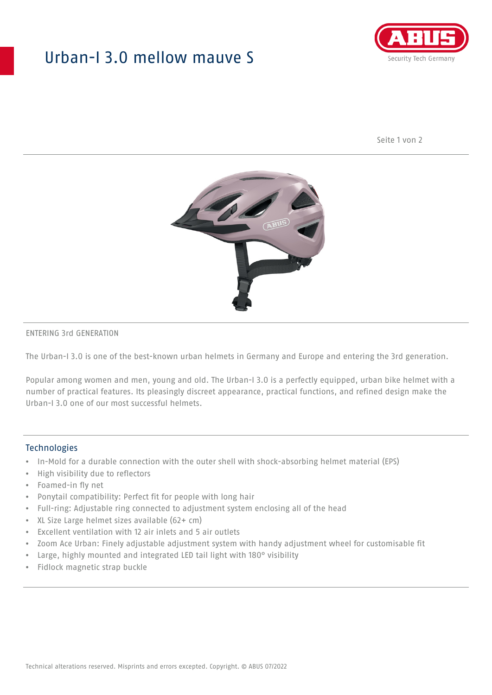## Urban-I 3.0 mellow mauve S



Seite 1 von 2



#### ENTERING 3rd GENERATION

The Urban-I 3.0 is one of the best-known urban helmets in Germany and Europe and entering the 3rd generation.

Popular among women and men, young and old. The Urban-I 3.0 is a perfectly equipped, urban bike helmet with a number of practical features. Its pleasingly discreet appearance, practical functions, and refined design make the Urban-I 3.0 one of our most successful helmets.

#### **Technologies**

- In-Mold for a durable connection with the outer shell with shock-absorbing helmet material (EPS)
- High visibility due to reflectors
- Foamed-in fly net
- Ponytail compatibility: Perfect fit for people with long hair
- Full-ring: Adjustable ring connected to adjustment system enclosing all of the head
- XL Size Large helmet sizes available (62+ cm)
- Excellent ventilation with 12 air inlets and 5 air outlets
- Zoom Ace Urban: Finely adjustable adjustment system with handy adjustment wheel for customisable fit
- Large, highly mounted and integrated LED tail light with 180° visibility
- Fidlock magnetic strap buckle